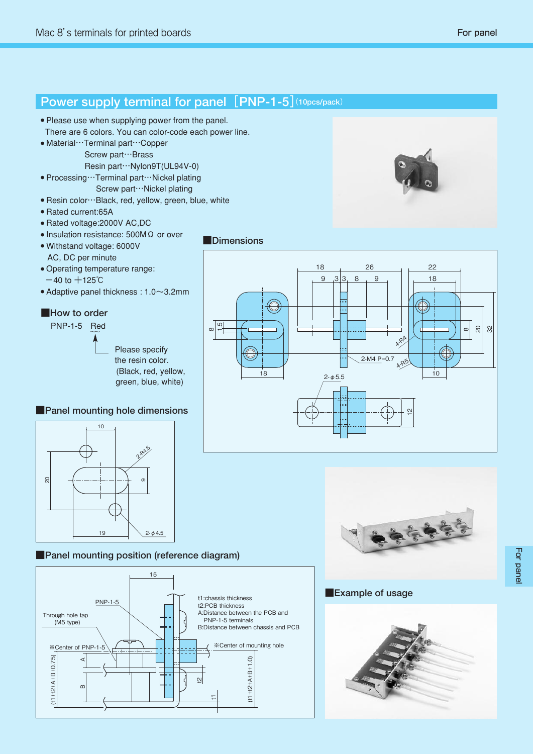

## **■Panel mounting position (reference diagram)**